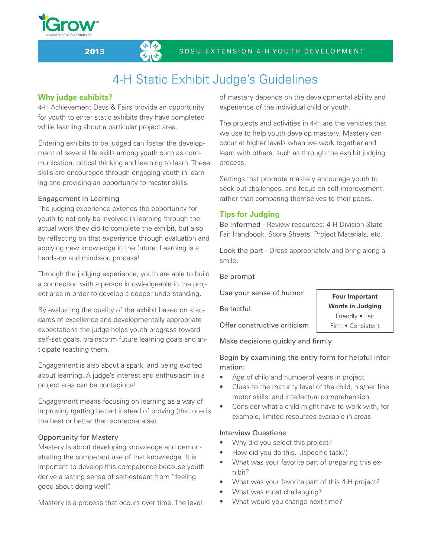### 2013 SD S U EXTENSION 4-H YOUTH DEVELOPMENT

# 4-H Static Exhibit Judge's Guidelines

# **Why judge exhibits?**

4-H Achievement Days & Fairs provide an opportunity for youth to enter static exhibits they have completed while learning about a particular project area.

Entering exhibits to be judged can foster the development of several life skills among youth such as communication, critical thinking and learning to learn. These skills are encouraged through engaging youth in learning and providing an opportunity to master skills.

### Engagement in Learning

The judging experience extends the opportunity for youth to not only be involved in learning through the actual work they did to complete the exhibit, but also by reflecting on that experience through evaluation and applying new knowledge in the future. Learning is a hands-on and minds-on process!

Through the judging experience, youth are able to build a connection with a person knowledgeable in the project area in order to develop a deeper understanding.

By evaluating the quality of the exhibit based on standards of excellence and developmentally appropriate expectations the judge helps youth progress toward self-set goals, brainstorm future learning goals and anticipate reaching them.

Engagement is also about a spark, and being excited about learning. A judge's interest and enthusiasm in a project area can be contagious!

Engagement means focusing on learning as a way of improving (getting better) instead of proving (that one is the best or better than someone else).

# Opportunity for Mastery

Mastery is about developing knowledge and demonstrating the competent use of that knowledge. It is important to develop this competence because youth derive a lasting sense of self-esteem from "feeling good about doing well".

Mastery is a process that occurs over time. The level

of mastery depends on the developmental ability and experience of the individual child or youth.

The projects and activities in 4-H are the vehicles that we use to help youth develop mastery. Mastery can occur at higher levels when we work together and learn with others, such as through the exhibit judging process.

Settings that promote mastery encourage youth to seek out challenges, and focus on self-improvement, rather than comparing themselves to their peers.

# **Tips for Judging**

Be informed - Review resources: 4-H Division State Fair Handbook, Score Sheets, Project Materials, etc.

Look the part - Dress appropriately and bring along a smile.

Be prompt

Use your sense of humor

Be tactful

**Four Important Words in Judging** Friendly • Fair Firm • Consistent

Offer constructive criticism

Make decisions quickly and firmly

Begin by examining the entry form for helpful information:

- Age of child and numberof years in project
- Clues to the maturity level of the child, his/her fine motor skills, and intellectual comprehension
- • Consider what a child might have to work with, for example, limited resources available in areas

#### Interview Questions

- Why did you select this project?
- How did you do this...(specific task?)
- What was your favorite part of preparing this exhibit?
- What was your favorite part of this 4-H project?
- What was most challenging?
- What would you change next time?